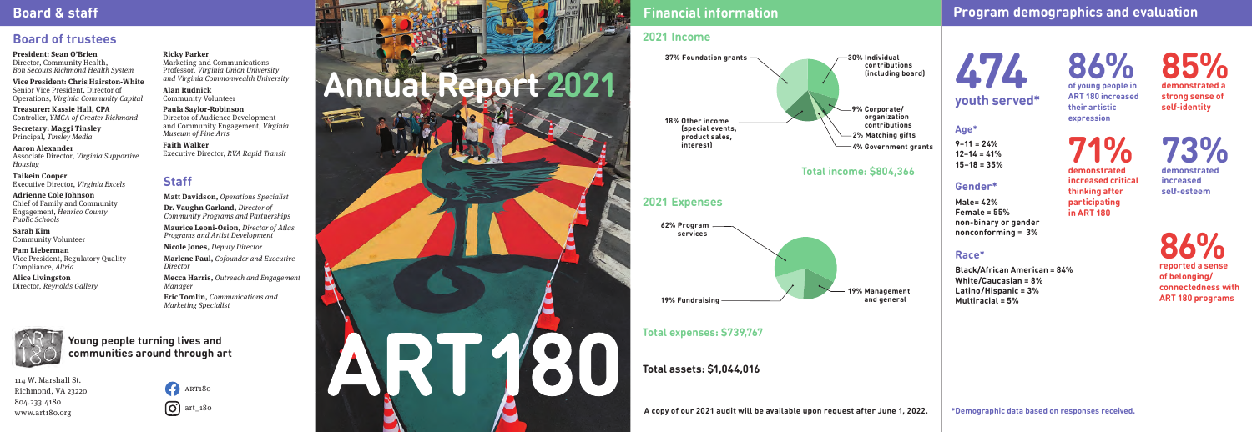# **Financial information Program demographics and evaluation**

**A copy of our 2021 audit will be available upon request after June 1, 2022.**

**474 youth served\*** **86% of young people in ART 180 increased their artistic** 

**expression**

**71% demonstrated increased critical** 

**thinking after participating in ART 180**

> **86% reported a sense of belonging/ connectedness with ART 180 programs**

**85%**

**demonstrated a strong sense of self-identity**

**73% demonstrated increased self-esteem**

#### **Age\***

**9–11 = 24% 12–14 = 41% 15–18 = 35%**

#### **Gender\***

**Male= 42% Female = 55% non-binary or gender nonconforming = 3%**

#### **Race\***

**Black/African American = 84% White/Caucasian = 8% Latino/Hispanic = 3% Multiracial = 5%**

**President: Sean O'Brien** Director, Community Health, *Bon Secours Richmond Health System*

**Vice President: Chris Hairston-White**  Senior Vice President, Director of Operations, *Virginia Community Capital*

**Treasurer: Kassie Hall, CPA** Controller, *YMCA of Greater Richmond* 

**Secretary: Maggi Tinsley** Principal, *Tinsley Media*

**Aaron Alexander** Associate Director, *Virginia Supportive Housing*

**Taikein Cooper** Executive Director, *Virginia Excels*

**Adrienne Cole Johnson** Chief of Family and Community Engagement, *Henrico County Public Schools* 

**Sarah Kim** Community Volunteer

**Pam Lieberman** Vice President, Regulatory Quality Compliance*, Altria* 

**Alice Livingston** Director, *Reynolds Gallery* 

**Ricky Parker**

Marketing and Communications Professor, *Virginia Union University and Virginia Commonwealth University* 

**Alan Rudnick** Community Volunteer

**Paula Saylor-Robinson** Director of Audience Development and Community Engagement, *Virginia Museum of Fine Arts*

**Faith Walker** Executive Director, *RVA Rapid Transit*

## **Staff**

## **Board & staff**

114 W. Marshall St. Richmond, VA 23220 804.233.4180 www.art180.org

**Young people turning lives and communities around through art**

# **Board of trustees**





**Matt Davidson,** *Operations Specialist*  **Dr. Vaughn Garland,** *Director of Community Programs and Partnerships* **Maurice Leoni-Osion,** *Director of Atlas Programs and Artist Development* **Nicole Jones,** *Deputy Director* **Marlene Paul,** *Cofounder and Executive Director* **Mecca Harris,** *Outreach and Engagement Manager*  **Eric Tomlin,** *Communications and Marketing Specialist*

## **2021 Income**

**Total expenses: \$739,767**





**Total assets: \$1,044,016**